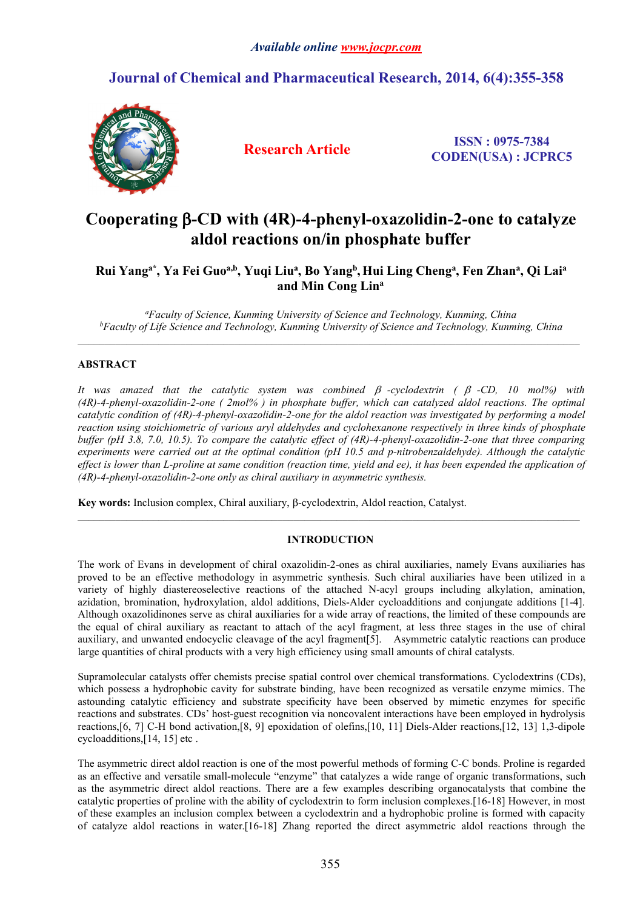# *Available online [www.jocpr.com](http://www.jocpr.com)*

# **Journal of Chemical and Pharmaceutical Research, 2014, 6(4):355-358**



**Research Article ISSN : 0975-7384 CODEN(USA) : JCPRC5**

# **Cooperating -CD with (4R)-4-phenyl-oxazolidin-2-one to catalyze aldol reactions on/in phosphate buffer**

# Rui Yang<sup>a\*</sup>, Ya Fei Guoª<sup>,b</sup>, Yuqi Liuª, Bo Yang<sup>b</sup>, Hui Ling Chengª, Fen Zhanª, Qi Laiª **and Min Cong Lin<sup>a</sup>**

*<sup>a</sup>Faculty of Science, Kunming University of Science and Technology, Kunming, China <sup>b</sup>Faculty of Life Science and Technology, Kunming University of Science and Technology, Kunming, China*

 $\mathcal{L}_\mathcal{L} = \mathcal{L}_\mathcal{L}$ 

 $\_$  , and the state of the state of the state of the state of the state of the state of the state of the state of the state of the state of the state of the state of the state of the state of the state of the state of the

# **ABSTRACT**

*It was amazed that the catalytic system was combined -cyclodextrin ( -CD, 10 mol%) with (4R)-4-phenyl-oxazolidin-2-one ( 2mol% ) in phosphate buffer, which can catalyzed aldol reactions. The optimal catalytic condition of (4R)-4-phenyl-oxazolidin-2-one for the aldol reaction was investigated by performing a model reaction using stoichiometric of various aryl aldehydes and cyclohexanone respectively in three kinds of phosphate buffer (pH 3.8, 7.0, 10.5). To compare the catalytic effect of (4R)-4-phenyl-oxazolidin-2-one that three comparing experiments were carried out at the optimal condition (pH 10.5 and p-nitrobenzaldehyde). Although the catalytic* effect is lower than L-proline at same condition (reaction time, yield and ee), it has been expended the application of *(4R)-4-phenyl-oxazolidin-2-one only as chiral auxiliary in asymmetric synthesis.*

**Key words:** Inclusion complex, Chiral auxiliary, β-cyclodextrin, Aldol reaction, Catalyst.

## **INTRODUCTION**

The work of Evans in development of chiral oxazolidin-2-ones as chiral auxiliaries, namely Evans auxiliaries has proved to be an effective methodology in asymmetric synthesis. Such chiral auxiliaries have been utilized in a variety of highly diastereoselective reactions of the attached N-acyl groups including alkylation, amination, azidation, bromination, hydroxylation, aldol additions, Diels-Alder cycloadditions and conjungate additions [1-4]. Although oxazolidinones serve as chiral auxiliaries for a wide array of reactions, the limited of these compounds are the equal of chiral auxiliary as reactant to attach of the acyl fragment, at less three stages in the use of chiral auxiliary, and unwanted endocyclic cleavage of the acyl fragment[5]. Asymmetric catalytic reactions can produce large quantities of chiral products with a very high efficiency using small amounts of chiral catalysts.

Supramolecular catalysts offer chemists precise spatial control over chemical transformations. Cyclodextrins (CDs), which possess a hydrophobic cavity for substrate binding, have been recognized as versatile enzyme mimics. The astounding catalytic efficiency and substrate specificity have been observed by mimetic enzymes for specific reactions and substrates. CDs' host-guest recognition via noncovalent interactions have been employed in hydrolysis reactions,[6, 7] C-H bond activation,[8, 9] epoxidation of olefins,[10, 11] Diels-Alder reactions,[12, 13] 1,3-dipole cycloadditions,[14, 15] etc .

The asymmetric direct aldol reaction is one of the most powerful methods of forming C-C bonds. Proline is regarded as an effective and versatile small-molecule "enzyme" that catalyzes a wide range of organic transformations, such as the asymmetric direct aldol reactions. There are a few examples describing organocatalysts that combine the catalytic properties of proline with the ability of cyclodextrin to form inclusion complexes.[16-18] However, in most of these examples an inclusion complex between a cyclodextrin and a hydrophobic proline isformed with capacity of catalyze aldol reactions in water.[16-18] Zhang reported the direct asymmetric aldol reactions through the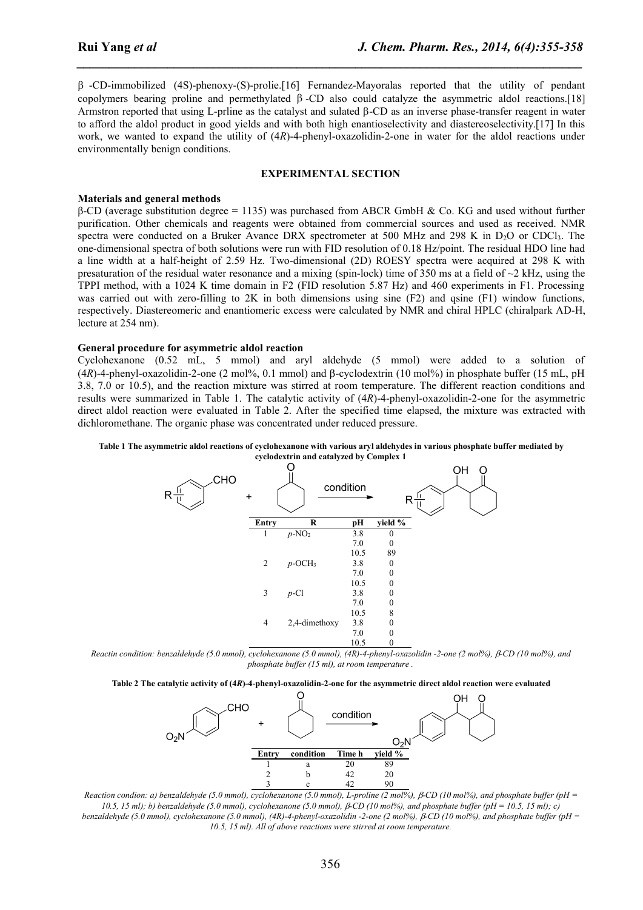$\beta$  -CD-immobilized (4S)-phenoxy-(S)-prolie.[16] Fernandez-Mayoralas reported that the utility of pendant copolymers bearing proline and permethylated  $\beta$ -CD also could catalyze the asymmetric aldol reactions.[18] Armstron reported that using L-prline as the catalyst and sulated  $\beta$ -CD as an inverse phase-transfer reagent in water to afford the aldol product in good yields and with both high enantioselectivity and diastereoselectivity.[17] In this work, we wanted to expand the utility of (4*R*)-4-phenyl-oxazolidin-2-one in water for the aldol reactions under environmentally benign conditions.

*\_\_\_\_\_\_\_\_\_\_\_\_\_\_\_\_\_\_\_\_\_\_\_\_\_\_\_\_\_\_\_\_\_\_\_\_\_\_\_\_\_\_\_\_\_\_\_\_\_\_\_\_\_\_\_\_\_\_\_\_\_\_\_\_\_\_\_\_\_\_\_\_\_\_\_\_\_\_*

## **EXPERIMENTAL SECTION**

#### **Materials and general methods**

β-CD (average substitution degree = 1135) was purchased from ABCR GmbH & Co. KG andused without further purification. Other chemicals and reagents were obtained from commercial sources and used as received. NMR spectra were conducted on a Bruker Avance DRX spectrometer at 500 MHz and 298 K in D<sub>2</sub>O or CDCl<sub>3</sub>. The one-dimensional spectra of both solutions were run with FID resolution of 0.18 Hz/point. The residual HDO line had a line width at a half-height of 2.59 Hz. Two-dimensional (2D) ROESY spectra were acquired at 298 K with presaturation of the residual water resonance and a mixing (spin-lock) time of 350 ms at a field of  $\sim$ 2 kHz, using the TPPI method, with a 1024 K time domain in F2 (FID resolution 5.87 Hz) and 460 experiments in F1. Processing was carried out with zero-filling to  $2K$  in both dimensions using sine  $(F2)$  and qsine  $(F1)$  window functions, respectively. Diastereomeric and enantiomeric excess were calculated by NMR and chiral HPLC (chiralpark AD-H, lecture at 254 nm).

#### **General procedure for asymmetric aldol reaction**

Cyclohexanone (0.52 mL, 5 mmol) and aryl aldehyde (5 mmol) were added to a solution of  $(4R)$ -4-phenyl-oxazolidin-2-one (2 mol%, 0.1 mmol) and  $\beta$ -cyclodextrin (10 mol%) in phosphate buffer (15 mL, pH) 3.8, 7.0 or 10.5), and the reaction mixture was stirred at room temperature. The different reaction conditions and results were summarized in Table 1. The catalytic activity of (4*R*)-4-phenyl-oxazolidin-2-one for the asymmetric direct aldol reaction were evaluated in Table 2. After the specified time elapsed, the mixture was extracted with dichloromethane. The organic phase was concentrated under reduced pressure.

#### Table 1 The asymmetric aldol reactions of cyclohexanone with various aryl aldehydes in various phosphate buffer mediated by **cyclodextrin and catalyzed by Complex 1**



Reactin condition: benzaldehyde (5.0 mmol), cyclohexanone (5.0 mmol), (4R)-4-phenyl-oxazolidin -2-one (2 mol%), ß-CD (10 mol%), and *phosphate buffer (15 ml), at room temperature .*

#### Table 2 The catalytic activity of (4R)-4-phenyl-oxazolidin-2-one for the asymmetric direct aldol reaction were evaluated



Reaction condion: a) benzaldehyde (5.0 mmol), cyclohexanone (5.0 mmol), L-proline (2 mol%),  $\beta$ CD (10 mol%), and phosphate buffer (pH = 10.5, 15 ml); b) benzaldehyde (5.0 mmol), cyclohexanone (5.0 mmol),  $\beta$ -CD (10 mol%), and phosphate buffer (pH = 10.5, 15 ml); c) benzaldehyde (5.0 mmol), cyclohexanone (5.0 mmol), (4R)-4-phenyl-oxazolidin -2-one (2 mol%),  $\beta$ CD (10 mol%), and phosphate buffer (pH = *10.5, 15 ml). All ofabove reactions were stirred at room temperature.*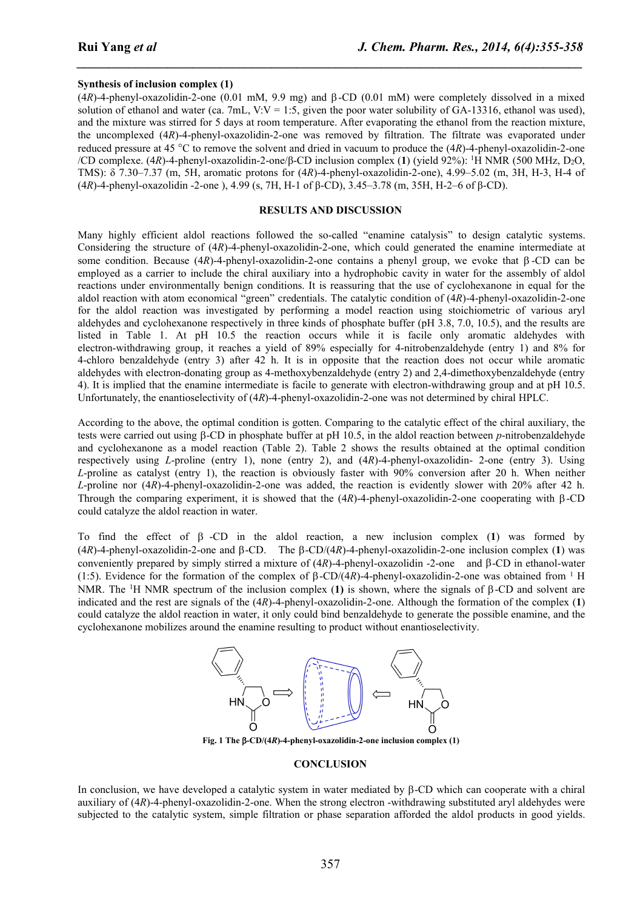#### **Synthesis of inclusion complex (1)**

 $(4R)$ -4-phenyl-oxazolidin-2-one  $(0.01 \text{ mM}, 9.9 \text{ mg})$  and  $\beta$ -CD  $(0.01 \text{ mM})$  were completely dissolved in a mixed solution of ethanol and water (ca. 7mL, V:V = 1:5, given the poor water solubility of GA-13316, ethanol was used), and the mixture was stirred for 5 days at room temperature. After evaporating the ethanol from the reaction mixture, the uncomplexed (4*R*)-4-phenyl-oxazolidin-2-one was removed by filtration. The filtrate was evaporated under reduced pressure at 45 °C to remove the solvent and dried in vacuum to produce the (4*R*)-4-phenyl-oxazolidin-2-one /CD complexe. (4*R*)-4-phenyl-oxazolidin-2-one/β-CD inclusion complex (**1**) (yield 92%): <sup>1</sup>H NMR (500 MHz, D2O, TMS): δ 7.30–7.37 (m, 5H, aromatic protons for (4*R*)-4-phenyl-oxazolidin-2-one), 4.99–5.02 (m, 3H, H-3, H-4 of (4*R*)-4-phenyl-oxazolidin -2-one ), 4.99 (s, 7H, H-1 of β-CD), 3.45–3.78 (m, 35H, H-2–6 of β-CD).

*\_\_\_\_\_\_\_\_\_\_\_\_\_\_\_\_\_\_\_\_\_\_\_\_\_\_\_\_\_\_\_\_\_\_\_\_\_\_\_\_\_\_\_\_\_\_\_\_\_\_\_\_\_\_\_\_\_\_\_\_\_\_\_\_\_\_\_\_\_\_\_\_\_\_\_\_\_\_*

# **RESULTS AND DISCUSSION**

Many highly efficient aldol reactions followed the so-called "enamine catalysis" to design catalytic systems. Considering the structure of (4*R*)-4-phenyl-oxazolidin-2-one, which could generated the enamine intermediate at some condition. Because  $(4R)$ -4-phenyl-oxazolidin-2-one contains a phenyl group, we evoke that  $\beta$ -CD can be employed as a carrier to include the chiral auxiliary into a hydrophobic cavity in water for the assembly of aldol reactions under environmentally benign conditions.It is reassuring that the use of cyclohexanone in equal for the aldol reaction with atom economical "green" credentials. The catalytic condition of (4*R*)-4-phenyl-oxazolidin-2-one for the aldol reaction was investigated by performing a model reaction using stoichiometric of various aryl aldehydes and cyclohexanone respectively in three kinds of phosphate buffer (pH 3.8, 7.0, 10.5), and the results are listed in Table 1. At pH 10.5 the reaction occurs while it is facile only aromatic aldehydes with electron-withdrawing group, it reaches a yield of 89% especially for 4-nitrobenzaldehyde (entry 1) and 8% for 4-chloro benzaldehyde (entry 3) after 42 h. It is in opposite that the reaction does not occur while aromatic aldehydes with electron-donating group as 4-methoxybenzaldehyde (entry 2) and 2,4-dimethoxybenzaldehyde (entry 4). It is implied that the enamine intermediate is facile to generate with electron-withdrawing group and at pH 10.5. Unfortunately, the enantioselectivity of (4*R*)-4-phenyl-oxazolidin-2-one was not determined by chiral HPLC.

According to the above, the optimal condition is gotten. Comparing to the catalytic effect of the chiral auxiliary, the tests were carried out using  $\beta$ -CD in phosphate buffer at pH 10.5, in the aldol reaction between *p*-nitrobenzaldehyde and cyclohexanone as a model reaction (Table 2). Table 2 shows the results obtained at the optimal condition respectively using *L*-proline (entry 1), none (entry 2), and (4*R*)-4-phenyl-oxazolidin- 2-one (entry 3). Using *L*-proline as catalyst (entry 1), the reaction is obviously faster with 90% conversion after 20 h. When neither *L*-proline nor (4*R*)-4-phenyl-oxazolidin-2-one was added, the reaction is evidently slower with 20% after 42 h. Through the comparing experiment, it is showed that the  $(4R)$ -4-phenyl-oxazolidin-2-one cooperating with  $\beta$ -CD could catalyze the aldol reaction in water.

To find the effect of  $\beta$  -CD in the aldol reaction, a new inclusion complex (1) was formed by  $(4R)$ -4-phenyl-oxazolidin-2-one and  $\beta$ -CD. The  $\beta$ -CD/(4*R*)-4-phenyl-oxazolidin-2-one inclusion complex (1) was conveniently prepared by simply stirred a mixture of (4*R*)-4-phenyl-oxazolidin -2-one and  $\beta$ -CD in ethanol-water (1:5). Evidence for the formation of the complex of  $B-CD/(4R)$ -4-phenyl-oxazolidin-2-one was obtained from <sup>1</sup> H NMR. The <sup>1</sup>H NMR spectrum of the inclusion complex (1) is shown, where the signals of  $\beta$ -CD and solvent are indicated and the rest are signals of the (4*R*)-4-phenyl-oxazolidin-2-one. Although the formation of the complex (**1**) could catalyze the aldol reaction in water, it only could bind benzaldehyde to generate the possible enamine, and the cyclohexanone mobilizes around the enamine resulting to product without enantioselectivity.



 $Fig. 1$  The  $\beta$ -CD/(4*R*)-4-phenyl-oxazolidin-2-one inclusion complex (1)

#### **CONCLUSION**

In conclusion, we have developed a catalytic system in water mediated by  $\beta$ -CD which can cooperate with a chiral auxiliary of (4*R*)-4-phenyl-oxazolidin-2-one. When the strong electron -withdrawing substituted aryl aldehydes were subjected to the catalytic system, simple filtration or phase separation afforded the aldol products in good yields.